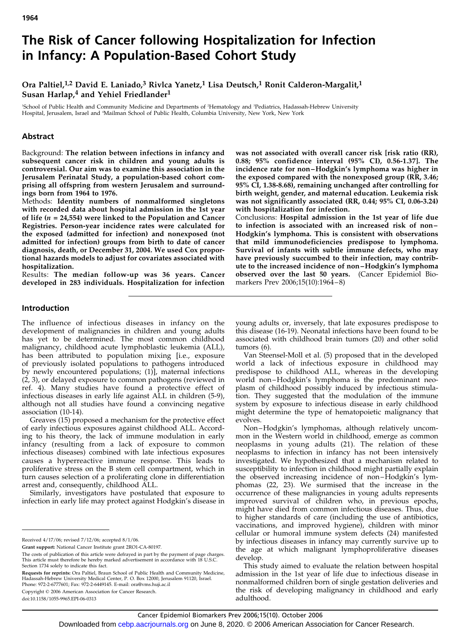## The Risk of Cancer following Hospitalization for Infection in Infancy: A Population-Based Cohort Study

Ora Paltiel,<sup>1,2</sup> David E. Laniado,<sup>3</sup> Rivlca Yanetz,<sup>1</sup> Lisa Deutsch,<sup>1</sup> Ronit Calderon-Margalit,<sup>1</sup> Susan Harlap, $4$  and Yehiel Friedlander $1$ 

1 School of Public Health and Community Medicine and Departments of <sup>2</sup> Hematology and <sup>3</sup> Pediatrics, Hadassah-Hebrew University Hospital, Jerusalem, Israel and 'Mailman School of Public Health, Columbia University, New York, New York

#### Abstract

Background: The relation between infections in infancy and subsequent cancer risk in children and young adults is controversial. Our aim was to examine this association in the Jerusalem Perinatal Study, a population-based cohort comprising all offspring from western Jerusalem and surroundings born from 1964 to 1976.

Methods: Identity numbers of nonmalformed singletons with recorded data about hospital admission in the 1st year of life ( $n = 24,554$ ) were linked to the Population and Cancer Registries. Person-year incidence rates were calculated for the exposed (admitted for infection) and nonexposed (not admitted for infection) groups from birth to date of cancer diagnosis, death, or December 31, 2004. We used Cox proportional hazards models to adjust for covariates associated with hospitalization.

Results: The median follow-up was 36 years. Cancer developed in 283 individuals. Hospitalization for infection was not associated with overall cancer risk [risk ratio (RR), 0.88; 95% confidence interval (95% CI), 0.56-1.37]. The incidence rate for non –Hodgkin's lymphoma was higher in the exposed compared with the nonexposed group (RR, 3.46; 95% CI, 1.38-8.68), remaining unchanged after controlling for birth weight, gender, and maternal education. Leukemia risk was not significantly associated (RR, 0.44; 95% CI, 0.06-3.24) with hospitalization for infection.

Conclusions: Hospital admission in the 1st year of life due to infection is associated with an increased risk of non – Hodgkin's lymphoma. This is consistent with observations that mild immunodeficiencies predispose to lymphoma. Survival of infants with subtle immune defects, who may have previously succumbed to their infection, may contribute to the increased incidence of non –Hodgkin's lymphoma observed over the last 50 years. (Cancer Epidemiol Biomarkers Prev 2006;15(10):1964-8)

#### Introduction

The influence of infectious diseases in infancy on the development of malignancies in children and young adults has yet to be determined. The most common childhood malignancy, childhood acute lymphoblastic leukemia (ALL), has been attributed to population mixing [i.e., exposure of previously isolated populations to pathogens introduced by newly encountered populations; (1)], maternal infections (2, 3), or delayed exposure to common pathogens (reviewed in ref. 4). Many studies have found a protective effect of infectious diseases in early life against ALL in children (5-9), although not all studies have found a convincing negative association (10-14).

Greaves (15) proposed a mechanism for the protective effect of early infectious exposures against childhood ALL. According to his theory, the lack of immune modulation in early infancy (resulting from a lack of exposure to common infectious diseases) combined with late infectious exposures causes a hyperreactive immune response. This leads to proliferative stress on the B stem cell compartment, which in turn causes selection of a proliferating clone in differentiation arrest and, consequently, childhood ALL.

Similarly, investigators have postulated that exposure to infection in early life may protect against Hodgkin's disease in

Grant support: National Cancer Institute grant 2RO1-CA-80197.

Requests for reprints: Ora Paltiel, Braun School of Public Health and Community Medicine, Hadassah-Hebrew University Medical Center, P. O. Box 12000, Jerusalem 91120, Israel. Phone: 972-2-6777601; Fax: 972-2-6449145. E-mail: ora@vms.huji.ac.il

Copyright © 2006 American Association for Cancer Research.

doi:10.1158/1055-9965.EPI-06-0313

young adults or, inversely, that late exposures predispose to this disease (16-19). Neonatal infections have been found to be associated with childhood brain tumors (20) and other solid tumors (6).

Van Steensel-Moll et al. (5) proposed that in the developed world a lack of infectious exposure in childhood may predispose to childhood ALL, whereas in the developing world non –Hodgkin's lymphoma is the predominant neoplasm of childhood possibly induced by infectious stimulation. They suggested that the modulation of the immune system by exposure to infectious disease in early childhood might determine the type of hematopoietic malignancy that evolves.

Non –Hodgkin's lymphomas, although relatively uncommon in the Western world in childhood, emerge as common neoplasms in young adults (21). The relation of these neoplasms to infection in infancy has not been intensively investigated. We hypothesized that a mechanism related to susceptibility to infection in childhood might partially explain the observed increasing incidence of non –Hodgkin's lymphomas (22, 23). We surmised that the increase in the occurrence of these malignancies in young adults represents improved survival of children who, in previous epochs, might have died from common infectious diseases. Thus, due to higher standards of care (including the use of antibiotics, vaccinations, and improved hygiene), children with minor cellular or humoral immune system defects (24) manifested by infectious diseases in infancy may currently survive up to the age at which malignant lymphoproliferative diseases develop.

This study aimed to evaluate the relation between hospital admission in the 1st year of life due to infectious disease in nonmalformed children born of single gestation deliveries and the risk of developing malignancy in childhood and early adulthood.

Downloaded from cebp.aacrjournals.org on June 8, 2020. © 2006 American Association for Cancer Research.

Received 4/17/06; revised 7/12/06; accepted 8/1/06.

The costs of publication of this article were defrayed in part by the payment of page charges. This article must therefore be hereby marked advertisement in accordance with 18 U.S.C. Section 1734 solely to indicate this fact.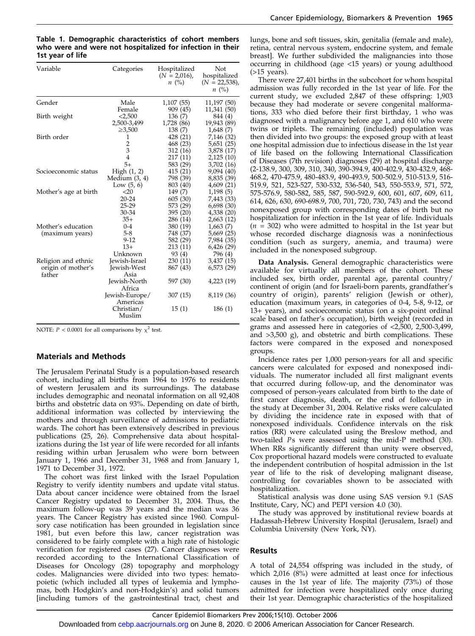| Table 1. Demographic characteristics of cohort members    |  |  |
|-----------------------------------------------------------|--|--|
| who were and were not hospitalized for infection in their |  |  |
| 1st year of life                                          |  |  |

| Variable              | Categories                           | Hospitalized<br>$(N = 2,016)$ ,<br>$n \ (\%)$ | Not<br>hospitalized<br>$(N = 22,538)$ ,<br>$n \ (\%)$ |
|-----------------------|--------------------------------------|-----------------------------------------------|-------------------------------------------------------|
| Gender                | Male                                 | 1,107 (55)                                    | 11,197 (50)                                           |
| Birth weight          | Female<br>$<$ 2,500                  | 909 (45)<br>136(7)                            | 11,341 (50)<br>844 (4)                                |
|                       | 2,500-3,499                          | 1,728 (86)                                    | 19,943 (89)                                           |
|                       | $\geq 3,500$                         | 138(7)                                        | 1,648(7)                                              |
| Birth order           | 1                                    | 428 (21)                                      | 7,146 (32)                                            |
|                       | $\overline{c}$                       | 468 (23)                                      | 5,651 (25)                                            |
|                       | 3                                    | 312 (16)                                      | 3,878 (17)                                            |
|                       | 4                                    | 217 (11)                                      | 2,125(10)                                             |
|                       | $5+$                                 | 583 (29)                                      | 3,702 (16)                                            |
| Socioeconomic status  | High $(1, 2)$                        | 415(21)                                       | 9,094 (40)                                            |
|                       | Medium $(3, 4)$                      | 798 (39)                                      | 8,835 (39)                                            |
|                       | Low $(5, 6)$                         | 803 (40)                                      | 4,609(21)                                             |
| Mother's age at birth | $<$ 20                               | 149 (7)                                       | 1,198(5)                                              |
|                       | $20 - 24$                            | 605(30)                                       | 7,443 (33)                                            |
|                       | 25-29                                | 573 (29)                                      | 6,698(30)                                             |
|                       | 30-34                                | 395 (20)                                      | 4,338 (20)                                            |
|                       | $35+$                                | 286 (14)                                      | 2,663(12)                                             |
| Mother's education    | $0 - 4$                              | 380 (19)                                      | 1,663(7)                                              |
| (maximum years)       | $5 - 8$                              | 748 (37)                                      | 5,669 (25)                                            |
|                       | $9-12$                               | 582 (29)                                      | 7,984 (35)                                            |
|                       | $13+$                                | 213 (11)                                      | 6,426(29)                                             |
|                       | Unknown                              | 93 (4)                                        | 796 (4)                                               |
| Religion and ethnic   | Jewish-Israel                        | 230 (11)                                      | 3,437 (15)                                            |
| origin of mother's    | Jewish-West                          | 867 (43)                                      | 6,573 (29)                                            |
| father                | Asia<br>Jewish-North                 | 597 (30)                                      | 4,223 (19)                                            |
|                       | Africa<br>Jewish-Europe/<br>Americas | 307 (15)                                      | 8,119 (36)                                            |
|                       | Christian/<br>Muslim                 | 15(1)                                         | 186(1)                                                |

NOTE:  $P < 0.0001$  for all comparisons by  $\chi^2$  test.

### Materials and Methods

The Jerusalem Perinatal Study is a population-based research cohort, including all births from 1964 to 1976 to residents of western Jerusalem and its surroundings. The database includes demographic and neonatal information on all 92,408 births and obstetric data on 93%. Depending on date of birth, additional information was collected by interviewing the mothers and through surveillance of admissions to pediatric wards. The cohort has been extensively described in previous publications (25, 26). Comprehensive data about hospitalizations during the 1st year of life were recorded for all infants residing within urban Jerusalem who were born between January 1, 1966 and December 31, 1968 and from January 1, 1971 to December 31, 1972.

The cohort was first linked with the Israel Population Registry to verify identity numbers and update vital status. Data about cancer incidence were obtained from the Israel Cancer Registry updated to December 31, 2004. Thus, the maximum follow-up was 39 years and the median was 36 years. The Cancer Registry has existed since 1960. Compulsory case notification has been grounded in legislation since 1981, but even before this law, cancer registration was considered to be fairly complete with a high rate of histologic verification for registered cases (27). Cancer diagnoses were recorded according to the International Classification of Diseases for Oncology (28) topography and morphology codes. Malignancies were divided into two types: hematopoietic (which included all types of leukemia and lymphomas, both Hodgkin's and non-Hodgkin's) and solid tumors [including tumors of the gastrointestinal tract, chest and

lungs, bone and soft tissues, skin, genitalia (female and male), retina, central nervous system, endocrine system, and female breast]. We further subdivided the malignancies into those occurring in childhood (age <15 years) or young adulthood (>15 years).

There were 27,401 births in the subcohort for whom hospital admission was fully recorded in the 1st year of life. For the current study, we excluded 2,847 of these offspring: 1,903 because they had moderate or severe congenital malformations, 333 who died before their first birthday, 1 who was diagnosed with a malignancy before age 1, and 610 who were twins or triplets. The remaining (included) population was then divided into two groups: the exposed group with at least one hospital admission due to infectious disease in the 1st year of life based on the following International Classification of Diseases (7th revision) diagnoses (29) at hospital discharge (2-138.9, 300, 309, 310, 340, 390-394.9, 400-402.9, 430-432.9, 468- 468.2, 470-475.9, 480-483.9, 490-493.9, 500-502.9, 510-513.9, 516- 519.9, 521, 523-527, 530-532, 536-540, 543, 550-553.9, 571, 572, 575-576.9, 580-582, 585, 587, 590-592.9, 600, 601, 607, 609, 611, 614, 626, 630, 690-698.9, 700, 701, 720, 730, 743) and the second nonexposed group with corresponding dates of birth but no hospitalization for infection in the 1st year of life. Individuals  $(n = 302)$  who were admitted to hospital in the 1st year but whose recorded discharge diagnosis was a noninfectious condition (such as surgery, anemia, and trauma) were included in the nonexposed subgroup.

Data Analysis. General demographic characteristics were available for virtually all members of the cohort. These included sex, birth order, parental age, parental country/ continent of origin (and for Israeli-born parents, grandfather's country of origin), parents' religion (Jewish or other), education (maximum years, in categories of 0-4, 5-8, 9-12, or 13+ years), and socioeconomic status (on a six-point ordinal scale based on father's occupation), birth weight (recorded in grams and assessed here in categories of <2,500, 2,500-3,499, and  $>3,500$  g), and obstetric and birth complications. These factors were compared in the exposed and nonexposed groups.

Incidence rates per 1,000 person-years for all and specific cancers were calculated for exposed and nonexposed individuals. The numerator included all first malignant events that occurred during follow-up, and the denominator was composed of person-years calculated from birth to the date of first cancer diagnosis, death, or the end of follow-up in the study at December 31, 2004. Relative risks were calculated by dividing the incidence rate in exposed with that of nonexposed individuals. Confidence intervals on the risk ratios (RR) were calculated using the Breslow method, and two-tailed Ps were assessed using the mid-P method (30). When RRs significantly different than unity were observed, Cox proportional hazard models were constructed to evaluate the independent contribution of hospital admission in the 1st year of life to the risk of developing malignant disease, controlling for covariables shown to be associated with hospitalization.

Statistical analysis was done using SAS version 9.1 (SAS Institute, Cary, NC) and PEPI version 4.0 (30).

The study was approved by institutional review boards at Hadassah-Hebrew University Hospital (Jerusalem, Israel) and Columbia University (New York, NY).

#### Results

A total of 24,554 offspring was included in the study, of which 2,016 (8%) were admitted at least once for infectious causes in the 1st year of life. The majority (73%) of those admitted for infection were hospitalized only once during their 1st year. Demographic characteristics of the hospitalized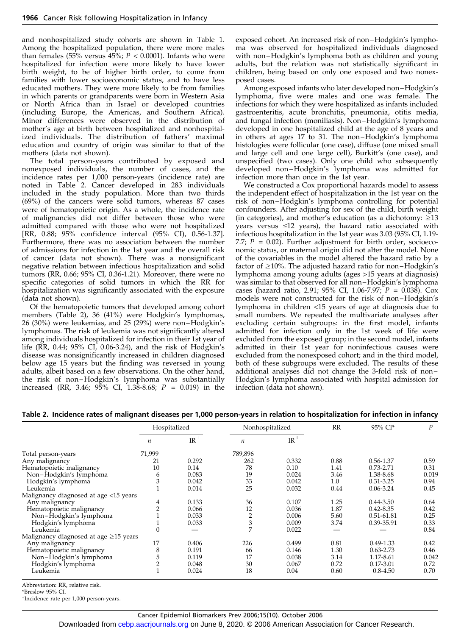and nonhospitalized study cohorts are shown in Table 1. Among the hospitalized population, there were more males than females (55% versus  $45\%$ ;  $P < 0.0001$ ). Infants who were hospitalized for infection were more likely to have lower birth weight, to be of higher birth order, to come from families with lower socioeconomic status, and to have less educated mothers. They were more likely to be from families in which parents or grandparents were born in Western Asia or North Africa than in Israel or developed countries (including Europe, the Americas, and Southern Africa). Minor differences were observed in the distribution of mother's age at birth between hospitalized and nonhospitalized individuals. The distribution of fathers' maximal education and country of origin was similar to that of the mothers (data not shown).

The total person-years contributed by exposed and nonexposed individuals, the number of cases, and the incidence rates per 1,000 person-years (incidence rate) are noted in Table 2. Cancer developed in 283 individuals included in the study population. More than two thirds (69%) of the cancers were solid tumors, whereas 87 cases were of hematopoietic origin. As a whole, the incidence rate of malignancies did not differ between those who were admitted compared with those who were not hospitalized [RR, 0.88; 95% confidence interval (95% CI), 0.56-1.37]. Furthermore, there was no association between the number of admissions for infection in the 1st year and the overall risk of cancer (data not shown). There was a nonsignificant negative relation between infectious hospitalization and solid tumors (RR, 0.66; 95% CI, 0.36-1.21). Moreover, there were no specific categories of solid tumors in which the RR for hospitalization was significantly associated with the exposure (data not shown).

Of the hematopoietic tumors that developed among cohort members (Table 2), 36 (41%) were Hodgkin's lymphomas, 26 (30%) were leukemias, and 25 (29%) were non –Hodgkin's lymphomas. The risk of leukemia was not significantly altered among individuals hospitalized for infection in their 1st year of life (RR, 0.44; 95% CI, 0.06-3.24), and the risk of Hodgkin's disease was nonsignificantly increased in children diagnosed below age 15 years but the finding was reversed in young adults, albeit based on a few observations. On the other hand, the risk of non-Hodgkin's lymphoma was substantially increased (RR, 3.46;  $95\%$  CI, 1.38-8.68; P = 0.019) in the

exposed cohort. An increased risk of non –Hodgkin's lymphoma was observed for hospitalized individuals diagnosed with non-Hodgkin's lymphoma both as children and young adults, but the relation was not statistically significant in children, being based on only one exposed and two nonexposed cases.

Among exposed infants who later developed non–Hodgkin's lymphoma, five were males and one was female. The infections for which they were hospitalized as infants included gastroenteritis, acute bronchitis, pneumonia, otitis media, and fungal infection (moniliasis). Non –Hodgkin's lymphoma developed in one hospitalized child at the age of 8 years and in others at ages 17 to 31. The non-Hodgkin's lymphoma histologies were follicular (one case), diffuse (one mixed small and large cell and one large cell), Burkitt's (one case), and unspecified (two cases). Only one child who subsequently developed non –Hodgkin's lymphoma was admitted for infection more than once in the 1st year.

We constructed a Cox proportional hazards model to assess the independent effect of hospitalization in the 1st year on the risk of non –Hodgkin's lymphoma controlling for potential confounders. After adjusting for sex of the child, birth weight (in categories), and mother's education (as a dichotomy:  $\geq 13$ ) years versus  $\leq 12$  years), the hazard ratio associated with infectious hospitalization in the 1st year was 3.03 (95% CI, 1.19- 7.7;  $P = 0.02$ ). Further adjustment for birth order, socioeconomic status, or maternal origin did not alter the model. None of the covariables in the model altered the hazard ratio by a factor of  $\geq$ 10%. The adjusted hazard ratio for non-Hodgkin's lymphoma among young adults (ages >15 years at diagnosis) was similar to that observed for all non –Hodgkin's lymphoma cases (hazard ratio, 2.91; 95% CI, 1.06-7.97;  $P = 0.038$ ). Cox models were not constructed for the risk of non-Hodgkin's lymphoma in children <15 years of age at diagnosis due to small numbers. We repeated the multivariate analyses after excluding certain subgroups: in the first model, infants admitted for infection only in the 1st week of life were excluded from the exposed group; in the second model, infants admitted in their 1st year for noninfectious causes were excluded from the nonexposed cohort; and in the third model, both of these subgroups were excluded. The results of these additional analyses did not change the 3-fold risk of non – Hodgkin's lymphoma associated with hospital admission for infection (data not shown).

|  | Table 2. Incidence rates of malignant diseases per 1,000 person-years in relation to hospitalization for infection in infancy |  |  |  |  |  |  |  |
|--|-------------------------------------------------------------------------------------------------------------------------------|--|--|--|--|--|--|--|
|--|-------------------------------------------------------------------------------------------------------------------------------|--|--|--|--|--|--|--|

|                                             | Hospitalized     |           | Nonhospitalized  |       | RR   | 95% CI*       | P     |
|---------------------------------------------|------------------|-----------|------------------|-------|------|---------------|-------|
|                                             | $\boldsymbol{n}$ | <b>IR</b> | $\boldsymbol{n}$ | IR    |      |               |       |
| Total person-years                          | 71,999           |           | 789,896          |       |      |               |       |
| Any malignancy                              | 21               | 0.292     | 262              | 0.332 | 0.88 | 0.56-1.37     | 0.59  |
| Hematopoietic malignancy                    | 10               | 0.14      | 78               | 0.10  | 1.41 | $0.73 - 2.71$ | 0.31  |
| Non-Hodgkin's lymphoma                      | 6                | 0.083     | 19               | 0.024 | 3.46 | 1.38-8.68     | 0.019 |
| Hodgkin's lymphoma                          | 3                | 0.042     | 33               | 0.042 | 1.0  | $0.31 - 3.25$ | 0.94  |
| Leukemia                                    |                  | 0.014     | 25               | 0.032 | 0.44 | $0.06 - 3.24$ | 0.45  |
| Malignancy diagnosed at age <15 years       |                  |           |                  |       |      |               |       |
| Any malignancy                              | 4                | 0.133     | 36               | 0.107 | 1.25 | $0.44 - 3.50$ | 0.64  |
| Hematopoietic malignancy                    |                  | 0.066     | 12               | 0.036 | 1.87 | $0.42 - 8.35$ | 0.42  |
| Non-Hodgkin's lymphoma                      |                  | 0.033     | 2                | 0.006 | 5.60 | 0.51-61.81    | 0.25  |
| Hodgkin's lymphoma                          |                  | 0.033     | 3                | 0.009 | 3.74 | 0.39-35.91    | 0.33  |
| Leukemia                                    | 0                |           | 7                | 0.022 |      |               | 0.84  |
| Malignancy diagnosed at age $\geq$ 15 years |                  |           |                  |       |      |               |       |
| Any malignancy                              | 17               | 0.406     | 226              | 0.499 | 0.81 | $0.49 - 1.33$ | 0.42  |
| Hematopoietic malignancy                    | 8                | 0.191     | 66               | 0.146 | 1.30 | $0.63 - 2.73$ | 0.46  |
| Non-Hodgkin's lymphoma                      | 5                | 0.119     | 17               | 0.038 | 3.14 | 1.17-8.61     | 0.042 |
| Hodgkin's lymphoma                          |                  | 0.048     | 30               | 0.067 | 0.72 | $0.17 - 3.01$ | 0.72  |
| Leukemia                                    |                  | 0.024     | 18               | 0.04  | 0.60 | $0.8 - 4.50$  | 0.70  |

Abbreviation: RR, relative risk.

\*Breslow 95% CI.

<sup>†</sup>Incidence rate per 1,000 person-years.

Downloaded from cebp.aacrjournals.org on June 8, 2020. © 2006 American Association for Cancer Research.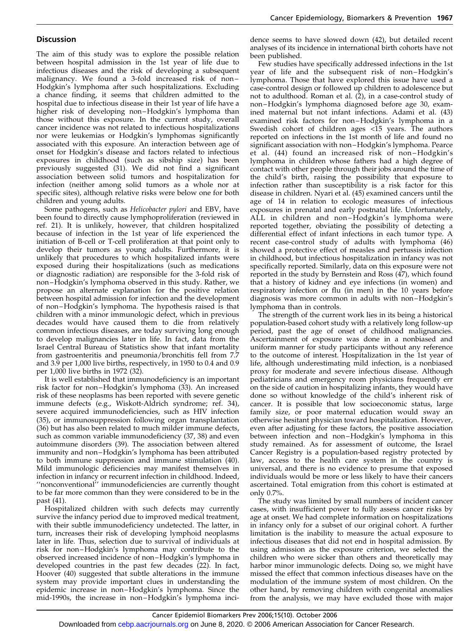#### **Discussion**

The aim of this study was to explore the possible relation between hospital admission in the 1st year of life due to infectious diseases and the risk of developing a subsequent malignancy. We found a 3-fold increased risk of non – Hodgkin's lymphoma after such hospitalizations. Excluding a chance finding, it seems that children admitted to the hospital due to infectious disease in their 1st year of life have a higher risk of developing non-Hodgkin's lymphoma than those without this exposure. In the current study, overall cancer incidence was not related to infectious hospitalizations nor were leukemias or Hodgkin's lymphomas significantly associated with this exposure. An interaction between age of onset for Hodgkin's disease and factors related to infectious exposures in childhood (such as sibship size) has been previously suggested (31). We did not find a significant association between solid tumors and hospitalization for infection (neither among solid tumors as a whole nor at specific sites), although relative risks were below one for both children and young adults.

Some pathogens, such as Helicobacter pylori and EBV, have been found to directly cause lymphoproliferation (reviewed in ref. 21). It is unlikely, however, that children hospitalized because of infection in the 1st year of life experienced the initiation of B-cell or T-cell proliferation at that point only to develop their tumors as young adults. Furthermore, it is unlikely that procedures to which hospitalized infants were exposed during their hospitalizations (such as medications or diagnostic radiation) are responsible for the 3-fold risk of non –Hodgkin's lymphoma observed in this study. Rather, we propose an alternate explanation for the positive relation between hospital admission for infection and the development of non –Hodgkin's lymphoma. The hypothesis raised is that children with a minor immunologic defect, which in previous decades would have caused them to die from relatively common infectious diseases, are today surviving long enough to develop malignancies later in life. In fact, data from the Israel Central Bureau of Statistics show that infant mortality from gastroenteritis and pneumonia/bronchitis fell from 7.7 and 3.9 per 1,000 live births, respectively, in 1950 to 0.4 and 0.9 per 1,000 live births in 1972 (32).

It is well established that immunodeficiency is an important risk factor for non –Hodgkin's lymphoma (33). An increased risk of these neoplasms has been reported with severe genetic immune defects (e.g., Wiskott-Aldrich syndrome; ref. 34), severe acquired immunodeficiencies, such as HIV infection (35), or immunosuppression following organ transplantation (36) but has also been related to much milder immune defects, such as common variable immunodeficiency (37, 38) and even autoimmune disorders (39). The association between altered immunity and non –Hodgkin's lymphoma has been attributed to both immune suppression and immune stimulation (40). Mild immunologic deficiencies may manifest themselves in infection in infancy or recurrent infection in childhood. Indeed, ''nonconventional'' immunodeficiencies are currently thought to be far more common than they were considered to be in the past (41).

Hospitalized children with such defects may currently survive the infancy period due to improved medical treatment, with their subtle immunodeficiency undetected. The latter, in turn, increases their risk of developing lymphoid neoplasms later in life. Thus, selection due to survival of individuals at risk for non –Hodgkin's lymphoma may contribute to the observed increased incidence of non –Hodgkin's lymphoma in developed countries in the past few decades (22). In fact, Hoover (40) suggested that subtle alterations in the immune system may provide important clues in understanding the epidemic increase in non –Hodgkin's lymphoma. Since the mid-1990s, the increase in non –Hodgkin's lymphoma incidence seems to have slowed down (42), but detailed recent analyses of its incidence in international birth cohorts have not been published.

Few studies have specifically addressed infections in the 1st year of life and the subsequent risk of non-Hodgkin's lymphoma. Those that have explored this issue have used a case-control design or followed up children to adolescence but not to adulthood. Roman et al. (2), in a case-control study of non –Hodgkin's lymphoma diagnosed before age 30, examined maternal but not infant infections. Adami et al. (43) examined risk factors for non-Hodgkin's lymphoma in a Swedish cohort of children ages <15 years. The authors reported on infections in the 1st month of life and found no significant association with non –Hodgkin's lymphoma. Pearce et al. (44) found an increased risk of non –Hodgkin's lymphoma in children whose fathers had a high degree of contact with other people through their jobs around the time of the child's birth, raising the possibility that exposure to infection rather than susceptibility is a risk factor for this disease in children. Nyari et al. (45) examined cancers until the age of 14 in relation to ecologic measures of infectious exposures in prenatal and early postnatal life. Unfortunately, ALL in children and non –Hodgkin's lymphoma were reported together, obviating the possibility of detecting a differential effect of infant infections in each tumor type. A recent case-control study of adults with lymphoma (46) showed a protective effect of measles and pertussis infection in childhood, but infectious hospitalization in infancy was not specifically reported. Similarly, data on this exposure were not reported in the study by Bernstein and Ross (47), which found that a history of kidney and eye infections (in women) and respiratory infection or flu (in men) in the 10 years before diagnosis was more common in adults with non –Hodgkin's lymphoma than in controls.

The strength of the current work lies in its being a historical population-based cohort study with a relatively long follow-up period, past the age of onset of childhood malignancies. Ascertainment of exposure was done in a nonbiased and uniform manner for study participants without any reference to the outcome of interest. Hospitalization in the 1st year of life, although underestimating mild infection, is a nonbiased proxy for moderate and severe infectious disease. Although pediatricians and emergency room physicians frequently err on the side of caution in hospitalizing infants, they would have done so without knowledge of the child's inherent risk of cancer. It is possible that low socioeconomic status, large family size, or poor maternal education would sway an otherwise hesitant physician toward hospitalization. However, even after adjusting for these factors, the positive association between infection and non –Hodgkin's lymphoma in this study remained. As for assessment of outcome, the Israel Cancer Registry is a population-based registry protected by law, access to the health care system in the country is universal, and there is no evidence to presume that exposed individuals would be more or less likely to have their cancers ascertained. Total emigration from this cohort is estimated at only 0.7%.

The study was limited by small numbers of incident cancer cases, with insufficient power to fully assess cancer risks by age at onset. We had complete information on hospitalizations in infancy only for a subset of our original cohort. A further limitation is the inability to measure the actual exposure to infectious diseases that did not end in hospital admission. By using admission as the exposure criterion, we selected the children who were sicker than others and theoretically may harbor minor immunologic defects. Doing so, we might have missed the effect that common infectious diseases have on the modulation of the immune system of most children. On the other hand, by removing children with congenital anomalies from the analysis, we may have excluded those with major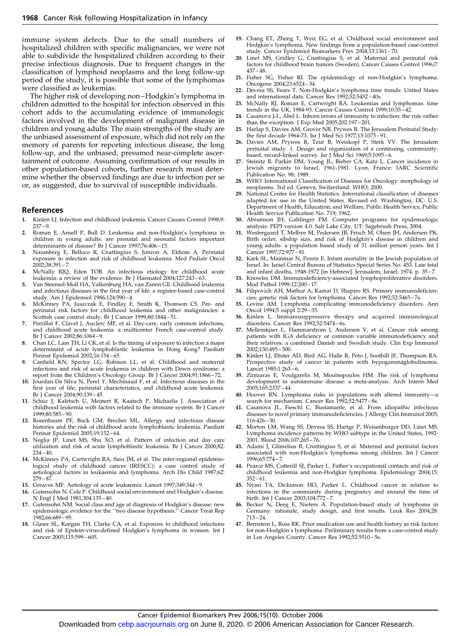immune system defects. Due to the small numbers of hospitalized children with specific malignancies, we were not able to subdivide the hospitalized children according to their precise infectious diagnosis. Due to frequent changes in the classification of lymphoid neoplasms and the long follow-up period of the study, it is possible that some of the lymphomas were classified as leukemias.

The higher risk of developing non –Hodgkin's lymphoma in children admitted to the hospital for infection observed in this cohort adds to the accumulating evidence of immunologic factors involved in the development of malignant disease in children and young adults. The main strengths of the study are the unbiased assessment of exposure, which did not rely on the memory of parents for reporting infectious disease, the long follow-up, and the unbiased, presumed near-complete ascertainment of outcome. Assuming confirmation of our results in other population-based cohorts, further research must determine whether the observed findings are due to infection per se or, as suggested, due to survival of susceptible individuals.

#### References

- 1. Kinlen LJ. Infection and childhood leukemia. Cancer Causes Control 1998;9:  $237 - 9.$
- 2. Roman E, Ansell P, Bull D. Leukemia and non-Hodgkin's lymphoma in children in young adults: are prenatal and neonatal factors important determinants of disease? Br J Cancer 1997;76:406 – 15.
- 3. Naumberg E, Belloco R, Cnattingius S, Jonzon A, Ekbom A. Perinatal exposure to infection and risk of childhood leukemia. Med Pediatr Oncol 2002;38:391 – 7.
- 4. McNally RJQ, Eden TOB. An infectious etiology for childhood acute leukemia: a review of the evidence. Br J Haematol 2004;127:243 – 63.
- 5. Van Steensel-Moll HA, Valkenburg HA, van Zanen GE. Childhood leukemia and infectious diseases in the first year of life: a register-based case-control study. Am J Epidemiol 1986;124:590 – 4.
- 6. McKinney PA, Juszczak E, Findlay E, Smith K, Thomson CS. Pre- and perinatal risk factors for childhood leukemia and other malignancies: a Scottish case control study. Br J Cancer 1999;80:1844 – 51.
- 7. Perrillat F, Clavel J, Auclerc MF, et al. Day-care, early common infections, and childhood acute leukemia: a multicenter French case-control study. Br J Cancer 2002;86:1064 – 9.
- 8. Chan LC, Lam TH, Li CK, et al. Is the timing of exposure to infection a major determinant of acute lymphoblastic leukemia in Hong Kong? Paediatr Perinat Epidemiol 2002;16:154-65.
- 9. Canfield KN, Spector LG, Robison LL, et al. Childhood and maternal infections and risk of acute leukemia in children with Down syndrome: a report from the Children's Oncology Group. Br J Cancer 2004;91:1866 – 72.
- 10. Jourdan-Da Silva N, Perel Y, Mechinaud F, et al. Infectious diseases in the first year of life, perinatal characteristics, and childhood acute leukemia. Br J Cancer 2004;90:139 – 45.
- 11. Schuz J, Kaletsch U, Meinert R, Kaatsch P, Michaelis J. Association of childhood leukemia with factors related to the immune system. Br J Cancer 1999;80:585 – 90.
- 12. Rosenbaum PF, Buck GM, Brecher ML. Allergy and infectious disease histories and the risk of childhood acute lymphoblastic leukemia. Paediatr Perinat Epidemiol 2005;19:152 – 64.
- 13. Neglia JP, Linet MS, Shu XO, et al. Pattern of infection and day care utilization and risk of acute lymphoblastic leukemia. Br J Cancer 2000;82:  $234 - 40.$
- 14. McKinney PA, Cartwright RA, Saiu JM, et al. The inter-regional epidemiological study of childhood cancer (IRESCC): a case control study of aetiological factors in leukaemia and lymphoma. Arch Dis Child 1987;62:  $279 - 87.$
- 
- 15. Greaves MF. Aetiology of acute leukaemia. Lancet 1997;349:344–9.<br>16. Gutensohn N, Cole P. Childhood social environment and Hodgkin's disease. N Engl J Med 1981;304:135 – 40.
- 17. Gutensohn NM. Social class and age at diagnosis of Hodgkin's disease: new epidemiologic evidence for the ''two disease hypothesis.'' Cancer Treat Rep 1982;66:689 – 95.
- 18. Glaser SL, Keegan TH, Clarke CA, et al. Exposure to childhood infections and risk of Epstein-virus-defined Hodgkin's lymphoma in women. Int J Cancer 2005;115:599 – 605.
- 19. Chang ET, Zheng T, Weir EG, et al. Childhood social environment and Hodgkin's lymphoma. New findings from a population-based case-control study. Cancer Epidemiol Biomarkers Prev 2004;13:1361 – 70.
- 20. Linet MS, Gridley G, Cnattingius S, et al. Maternal and perinatal risk factors for childhood brain tumors (Sweden). Cancer Causes Control 1996;7: 437 – 48.
- 21. Fisher SG, Fisher RI. The epidemiology of non-Hodgkin's lymphoma. Oncogene 2004;23:6524 – 34.
- 22. Devesa SS, Fears T. Non-Hodgkin's lymphoma time trends: United States and international data. Cancer Res 1992;52:5432 – 40s.
- 23. McNally RJ, Roman E, Cartwright RA. Leukemias and lymphomas: time trends in the UK, 1984-93. Cancer Causes Control 1999;10:35 – 42.
- 24. Casanova J-L, Abel L. Inborn errors of immunity to infection: the rule rather than the exception. J Exp Med 2005;202:197 – 201.
- 25. Harlap S, Davies AM, Grover NB, Prywes R. The Jerusalem Perinatal Study: the first decade 1964-73. Isr J Med Sci 1977;13:1073 – 91.
- 26. Davies AM, Prywes R, Tzur B, Weiskopf P, Sterk VV. The Jerusalem perinatal study. 1. Design and organization of a continuing, communitybased, record-linked survey. Isr J Med Sci 1969;5:1095 – 6.
- 27. Steinitz R. Parkin DM, Young JL, Bieber CA, Katz L. Cancer incidence in Jewish migrants to Israel, 1961-1981. Lyon, France: IARC Scientific Publication No. 98; 1989.
- 28. WHO. International Classification of Diseases for Oncology: morphology of neoplasms. 3rd ed. Geneva, Switzerland: WHO; 2000.
- 29. National Center for Health Statistics. International classification of diseases adapted for use in the United States. Revised ed. Washington, DC: U.S. Department of Health, Education, and Welfare, Public Health Service, Public Health Service Publication No. 719; 1962.
- 30. Abramson JH, Gahlinger PM. Computer programs for epidemiologic analysis: PEPI version 4.0. Salt Lake City, UT: Sagebrush Press; 2004.
- 31. Westergaard T, Melbye M, Pedersen JB, Frisch M, Olsen JH, Andersen PK. Birth order, sibship size, and risk of Hodgkin's disease in children and young adults: a population based study of 31 million person years. Int J Cancer 1997;72:977 – 81.
- 32. Kark SL, Mainmar N, Peretz E. Infant mortality in the Jewish population of Israel. In: Israel Central Bureau of Statistics Special Series No. 453. Late fetal and infant deaths, 1948-1972 [in Hebrew]. Jerusalem, Israel; 1974. p. 35 – 7.
- 33. Knowles DM. Immunodeficiency-associated lymphoproliferative disorders. Mod Pathol 1999;12:200 – 17.
- 34. Filipovich AH, Mathur A, Kamat D, Shapiro RS. Primary immunodeficiencies: genetic risk factors for lymphoma. Cancer Res 1992;52:5465 – 7s.
- 35. Levine AM. Lymphoma complicating immunodeficiency disorders. Ann Oncol 1994;5 suppl 2:29 – 35.
- 36. Kinlen L. Immunosuppressive therapy and acquired immunological disorders. Cancer Res 1992;52:5474 – 6s.
- 37. Mellemkjaer L, Hammarstrom l, Andersen V, et al. Cancer risk among patients with IGA deficiency or common variable immunodeficiency and their relatives: a combined Danish and Swedish study. Clin Exp Immunol 2002;130:495 – 500.
- 38. Kinlen LJ, Ebster AD, Bird AG, Halle R, Peto J, Soothill JF, Thompson RA. Prospective study of cancer in patients with hypogammaglobulinemia. Lancet 1985;1:263 – 6.
- Zintzaras E, Voulgarelis M, Moutsopoulos HM. The risk of lymphoma development in autoimmune disease: a meta-analysis. Arch Intern Med 2005;165:2337 – 44.
- 40. Hoover RN. Lymphoma risks in populations with altered immunity—a search for mechanism. Cancer Res 1992;52:5477 8s.
- 41. Casanova JL, Fieschl C, Bustamante, et al. From idiopathic infectious diseases to novel primary immunodeficiencies. J Allergy Clin Immunol 2005;  $116:426 - 30$
- 42. Morton LM, Wang SS, Devesa SS, Hartge P, Weisenburger DD, Linet MS. Lymphoma incidence patterns by WHO subtype in the United States, 1992- 2001. Blood 2006;107:265 – 76.
- 43. Adami J, Glimelius B, Cnattingius S, et al. Maternal and perinatal factors associated with non-Hodgkin's lymphoma among children. Int J Cancer 1996;65:774 – 7.
- 44. Pearce MS, Cotterill SJ, Parker L. Father's occupational contacts and risk of childhood leukemia and non-Hodgkin lymphoma. Epidemiology 2004;15:  $352 - 61.$
- 45. Nyari TA, Dickinson HO, Parker L. Childhood cancer in relation to infections in the community during pregnancy and around the time of birth. Int J Cancer 2003;104:772 – 7.
- Becker N, Deeg E, Nieters A. Population-based study of lymphoma in Germany: rationale, study design, and first results. Leuk Res 2004;28:  $713 - 24.$
- 47. Bernstein L, Ross RK. Prior medication use and health history as risk factors for non-Hodgkin's lymphoma. Preliminary results from a case-control study in Los Angeles County. Cancer Res 1992;52:5510 – 5s.